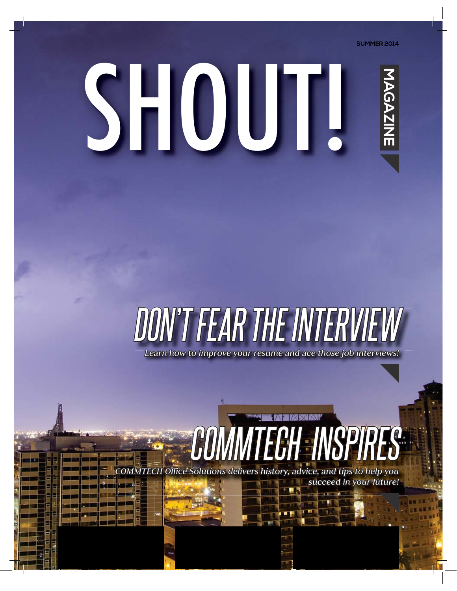**SUMMER 2014**

**MAGAZINE**

MAGAZINE

# SHOUT!

#### *DON'T FEAR THE INTERVIEW Learn how to improve your resume and ace those job interviews!*

#### *COMMTECH INSPIRES*

*COMMTECH Office Solutions delivers history, advice, and tips to help you* 

*succeed in your future!*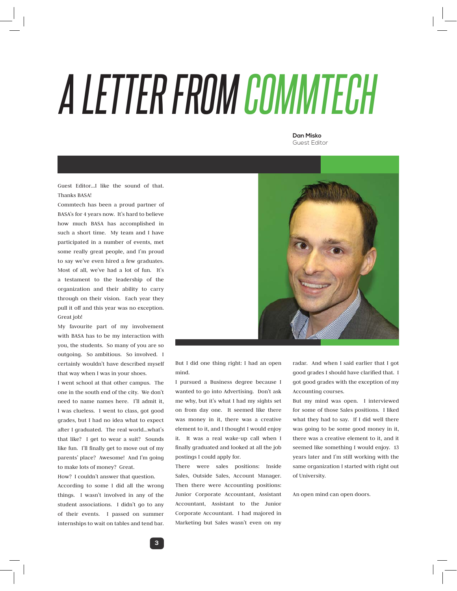### *A LETTER FROM COMMTECH*

**Dan Misko** Guest Editor

Guest Editor…I like the sound of that. Thanks BASA!

Commtech has been a proud partner of BASA's for 4 years now. It's hard to believe how much BASA has accomplished in such a short time. My team and I have participated in a number of events, met some really great people, and I'm proud to say we've even hired a few graduates. Most of all, we've had a lot of fun. It's a testament to the leadership of the organization and their ability to carry through on their vision. Each year they pull it off and this year was no exception. Great job!

My favourite part of my involvement with BASA has to be my interaction with you, the students. So many of you are so outgoing. So ambitious. So involved. I certainly wouldn't have described myself that way when I was in your shoes.

I went school at that other campus. The one in the south end of the city. We don't need to name names here. I'll admit it, I was clueless. I went to class, got good grades, but I had no idea what to expect after I graduated. The real world…what's that like? I get to wear a suit? Sounds like fun. I'll finally get to move out of my parents' place? Awesome! And I'm going to make lots of money? Great.

How? I couldn't answer that question. According to some I did all the wrong things. I wasn't involved in any of the student associations. I didn't go to any of their events. I passed on summer internships to wait on tables and tend bar.



But I did one thing right: I had an open mind.

I pursued a Business degree because I wanted to go into Advertising. Don't ask me why, but it's what I had my sights set on from day one. It seemed like there was money in it, there was a creative element to it, and I thought I would enjoy it. It was a real wake-up call when I finally graduated and looked at all the job postings I could apply for.

There were sales positions: Inside Sales, Outside Sales, Account Manager. Then there were Accounting positions: Junior Corporate Accountant, Assistant Accountant, Assistant to the Junior Corporate Accountant. I had majored in Marketing but Sales wasn't even on my

radar. And when I said earlier that I got good grades I should have clarified that. I got good grades with the exception of my Accounting courses.

But my mind was open. I interviewed for some of those Sales positions. I liked what they had to say. If I did well there was going to be some good money in it, there was a creative element to it, and it seemed like something I would enjoy. 13 years later and I'm still working with the same organization I started with right out of University.

An open mind can open doors.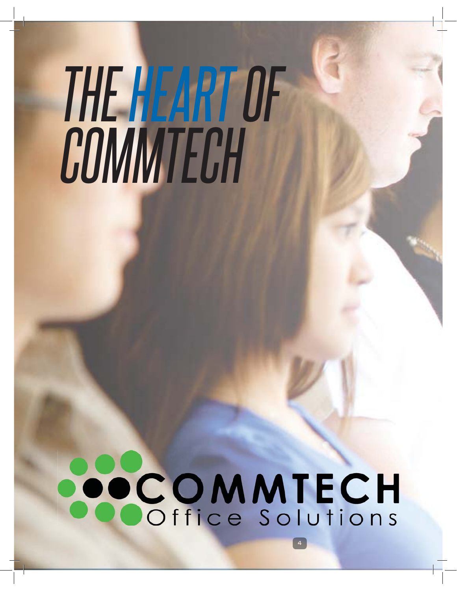## *THE HEART OF COMMTECH*

**POCOMMTECH** 

**4**